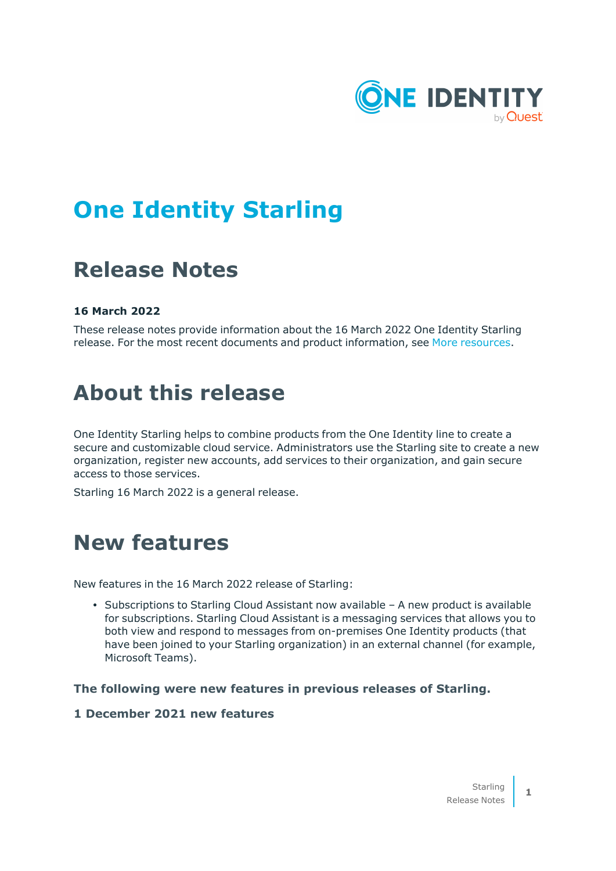

# **One Identity Starling**

# **Release Notes**

#### **16 March 2022**

These release notes provide information about the 16 March 2022 One Identity Starling release. For the most recent documents and product information, see More [resources.](#page-3-0)

### **About this release**

One Identity Starling helps to combine products from the One Identity line to create a secure and customizable cloud service. Administrators use the Starling site to create a new organization, register new accounts, add services to their organization, and gain secure access to those services.

Starling 16 March 2022 is a general release.

### **New features**

New features in the 16 March 2022 release of Starling:

• Subscriptions to Starling Cloud Assistant now available – A new product is available for subscriptions. Starling Cloud Assistant is a messaging services that allows you to both view and respond to messages from on-premises One Identity products (that have been joined to your Starling organization) in an external channel (for example, Microsoft Teams).

#### **The following were new features in previous releases of Starling.**

#### **1 December 2021 new features**

**1**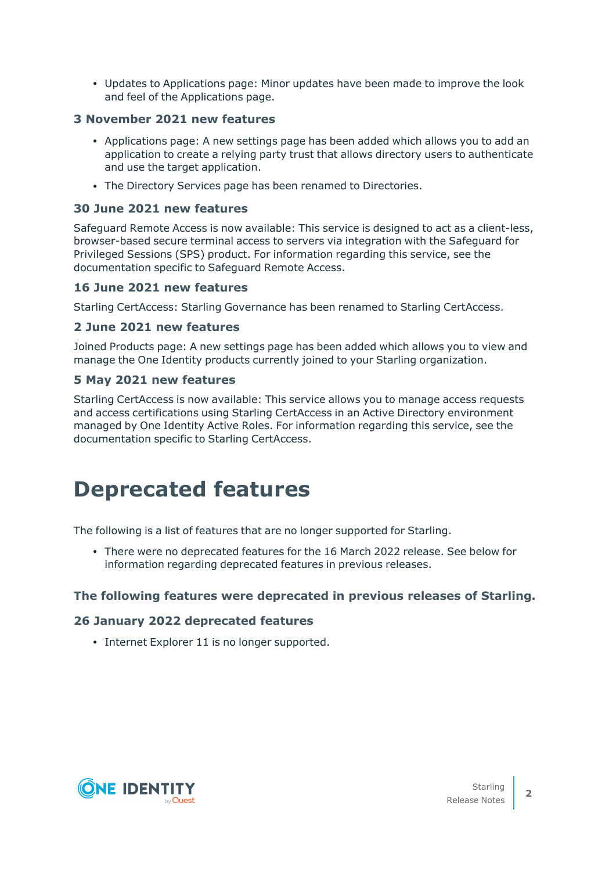• Updates to Applications page: Minor updates have been made to improve the look and feel of the Applications page.

#### **3 November 2021 new features**

- Applications page: A new settings page has been added which allows you to add an application to create a relying party trust that allows directory users to authenticate and use the target application.
- The Directory Services page has been renamed to Directories.

#### **30 June 2021 new features**

Safeguard Remote Access is now available: This service is designed to act as a client-less, browser-based secure terminal access to servers via integration with the Safeguard for Privileged Sessions (SPS) product. For information regarding this service, see the documentation specific to Safeguard Remote Access.

#### **16 June 2021 new features**

Starling CertAccess: Starling Governance has been renamed to Starling CertAccess.

#### **2 June 2021 new features**

Joined Products page: A new settings page has been added which allows you to view and manage the One Identity products currently joined to your Starling organization.

#### **5 May 2021 new features**

Starling CertAccess is now available: This service allows you to manage access requests and access certifications using Starling CertAccess in an Active Directory environment managed by One Identity Active Roles. For information regarding this service, see the documentation specific to Starling CertAccess.

## **Deprecated features**

The following is a list of features that are no longer supported for Starling.

• There were no deprecated features for the 16 March 2022 release. See below for information regarding deprecated features in previous releases.

#### **The following features were deprecated in previous releases of Starling.**

#### **26 January 2022 deprecated features**

• Internet Explorer 11 is no longer supported.

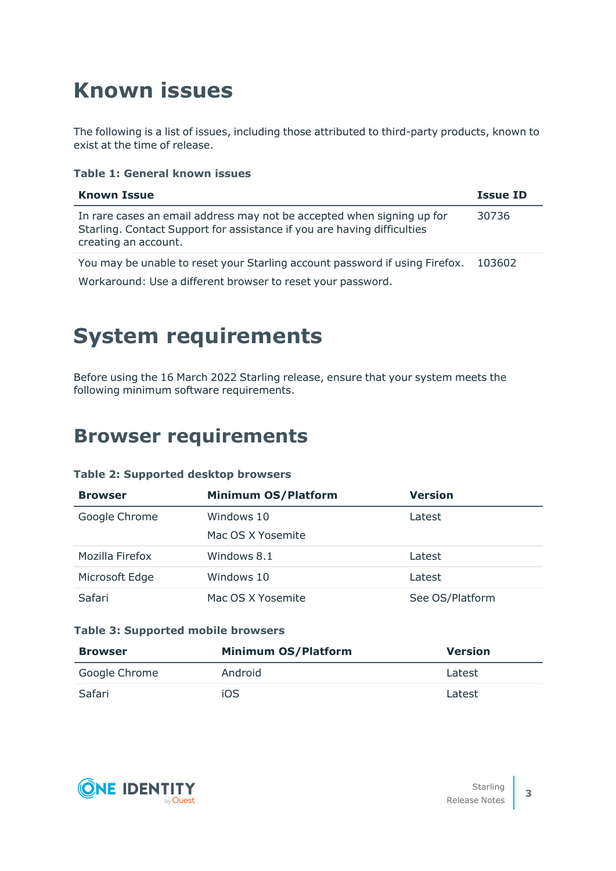# **Known issues**

The following is a list of issues, including those attributed to third-party products, known to exist at the time of release.

#### **Table 1: General known issues**

| <b>Known Issue</b>                                                                                                                                                        | <b>Issue ID</b> |
|---------------------------------------------------------------------------------------------------------------------------------------------------------------------------|-----------------|
| In rare cases an email address may not be accepted when signing up for<br>Starling. Contact Support for assistance if you are having difficulties<br>creating an account. | 30736           |
| You may be unable to reset your Starling account password if using Firefox.<br>Workaround: Use a different browser to reset your password.                                | 103602          |

### **System requirements**

Before using the 16 March 2022 Starling release, ensure that your system meets the following minimum software requirements.

### **Browser requirements**

#### **Table 2: Supported desktop browsers**

| <b>Browser</b>  | <b>Minimum OS/Platform</b> | Version         |
|-----------------|----------------------------|-----------------|
| Google Chrome   | Windows 10                 | Latest          |
|                 | Mac OS X Yosemite          |                 |
| Mozilla Firefox | Windows 8.1                | Latest          |
| Microsoft Edge  | Windows 10                 | Latest          |
| Safari          | Mac OS X Yosemite          | See OS/Platform |

#### **Table 3: Supported mobile browsers**

| <b>Browser</b> | <b>Minimum OS/Platform</b> | <b>Version</b> |
|----------------|----------------------------|----------------|
| Google Chrome  | Android                    | Latest         |
| Safari         | iOS                        | Latest         |

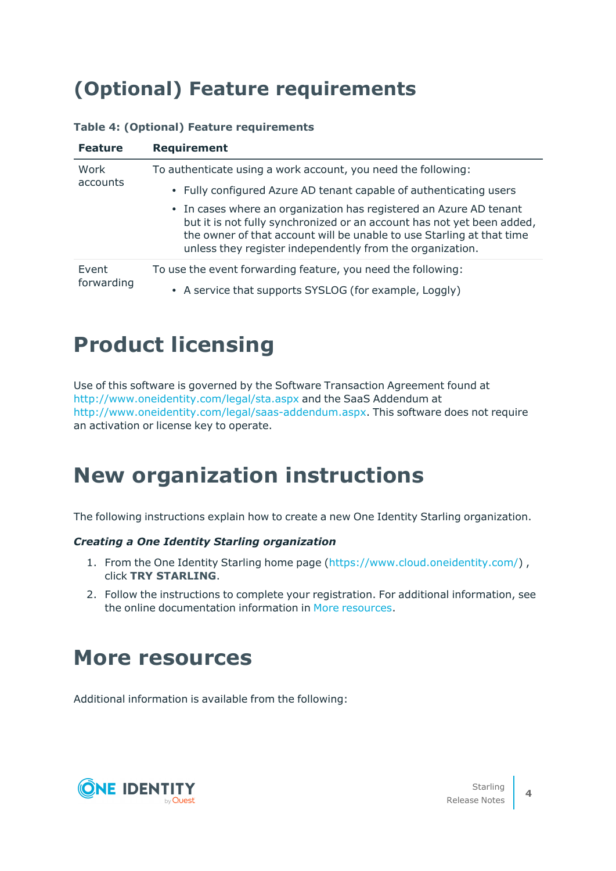### **(Optional) Feature requirements**

| <b>Feature</b>      | <b>Requirement</b>                                                                                                                                                                                                                                                                 |
|---------------------|------------------------------------------------------------------------------------------------------------------------------------------------------------------------------------------------------------------------------------------------------------------------------------|
| Work<br>accounts    | To authenticate using a work account, you need the following:                                                                                                                                                                                                                      |
|                     | • Fully configured Azure AD tenant capable of authenticating users                                                                                                                                                                                                                 |
|                     | • In cases where an organization has registered an Azure AD tenant<br>but it is not fully synchronized or an account has not yet been added,<br>the owner of that account will be unable to use Starling at that time<br>unless they register independently from the organization. |
| Event<br>forwarding | To use the event forwarding feature, you need the following:                                                                                                                                                                                                                       |
|                     | • A service that supports SYSLOG (for example, Loggly)                                                                                                                                                                                                                             |

#### **Table 4: (Optional) Feature requirements**

## **Product licensing**

Use of this software is governed by the Software Transaction Agreement found at <http://www.oneidentity.com/legal/sta.aspx> and the SaaS Addendum at <http://www.oneidentity.com/legal/saas-addendum.aspx>. This software does not require an activation or license key to operate.

### **New organization instructions**

The following instructions explain how to create a new One Identity Starling organization.

#### *Creating a One Identity Starling organization*

- 1. From the One Identity Starling home page [\(https://www.cloud.oneidentity.com/](https://www.cloud.oneidentity.com/)) , click **TRY STARLING**.
- 2. Follow the instructions to complete your registration. For additional information, see the online documentation information in More [resources.](#page-3-0)

### <span id="page-3-0"></span>**More resources**

Additional information is available from the following:

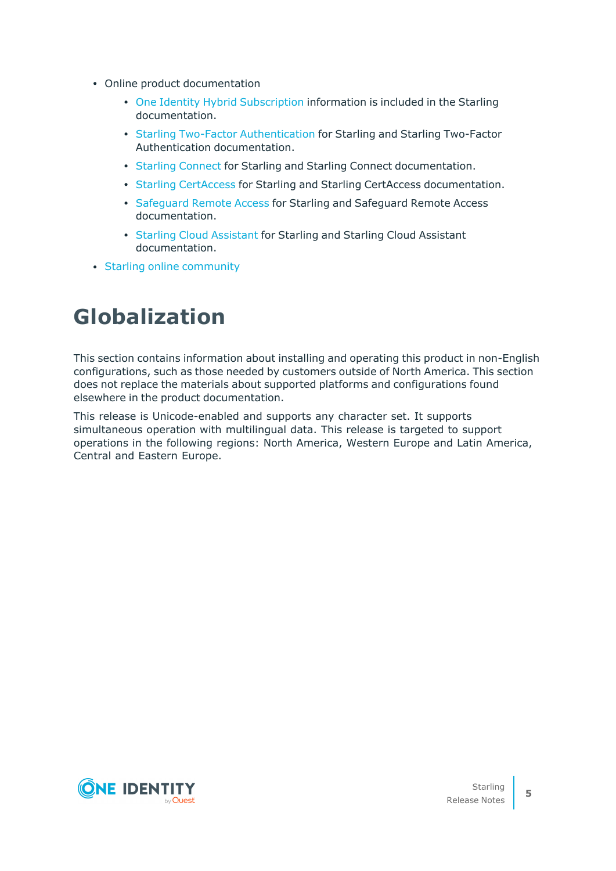- Online product documentation
	- One Identity Hybrid [Subscription](https://support.oneidentity.com/one-identity-hybrid-subscription/hosted/technical-documents) information is included in the Starling documentation.
	- Starling Two-Factor [Authentication](https://support.oneidentity.com/starling-two-factor-authentication/hosted/technical-documents) for Starling and Starling Two-Factor Authentication documentation.
	- Starling [Connect](https://support.oneidentity.com/starling-connect/hosted/technical-documents) for Starling and Starling Connect documentation.
	- Starling [CertAccess](https://support.oneidentity.com/starling-certaccess/hosted/technical-documents) for Starling and Starling CertAccess documentation.
	- [Safeguard](http://support.oneidentity.com/safeguard-remote-access/hosted/technical-documents) Remote Access for Starling and Safeguard Remote Access documentation.
	- Starling Cloud [Assistant](https://support.oneidentity.com/starling-cloud-assistant/hosted/technical-documents) for Starling and Starling Cloud Assistant documentation.
- Starling online [community](https://www.quest.com/community/products/one-identity/f/starling)

## **Globalization**

This section contains information about installing and operating this product in non-English configurations, such as those needed by customers outside of North America. This section does not replace the materials about supported platforms and configurations found elsewhere in the product documentation.

This release is Unicode-enabled and supports any character set. It supports simultaneous operation with multilingual data. This release is targeted to support operations in the following regions: North America, Western Europe and Latin America, Central and Eastern Europe.

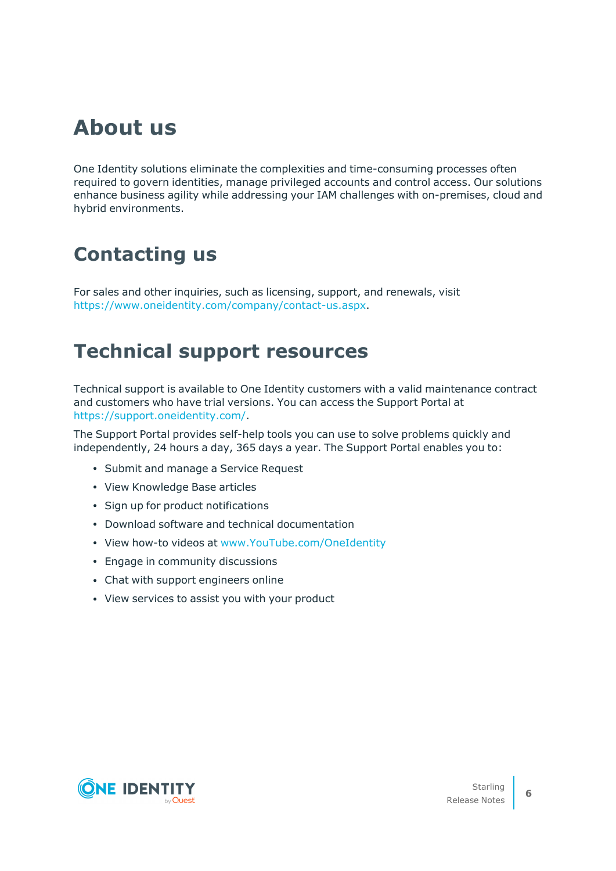### **About us**

One Identity solutions eliminate the complexities and time-consuming processes often required to govern identities, manage privileged accounts and control access. Our solutions enhance business agility while addressing your IAM challenges with on-premises, cloud and hybrid environments.

### **Contacting us**

For sales and other inquiries, such as licensing, support, and renewals, visit [https://www.oneidentity.com/company/contact-us.aspx.](https://www.oneidentity.com/company/contact-us.aspx)

### **Technical support resources**

Technical support is available to One Identity customers with a valid maintenance contract and customers who have trial versions. You can access the Support Portal at [https://support.oneidentity.com/.](https://support.oneidentity.com/)

The Support Portal provides self-help tools you can use to solve problems quickly and independently, 24 hours a day, 365 days a year. The Support Portal enables you to:

- Submit and manage a Service Request
- View Knowledge Base articles
- Sign up for product notifications
- Download software and technical documentation
- View how-to videos at [www.YouTube.com/OneIdentity](http://www.youtube.com/OneIdentity)
- Engage in community discussions
- Chat with support engineers online
- View services to assist you with your product